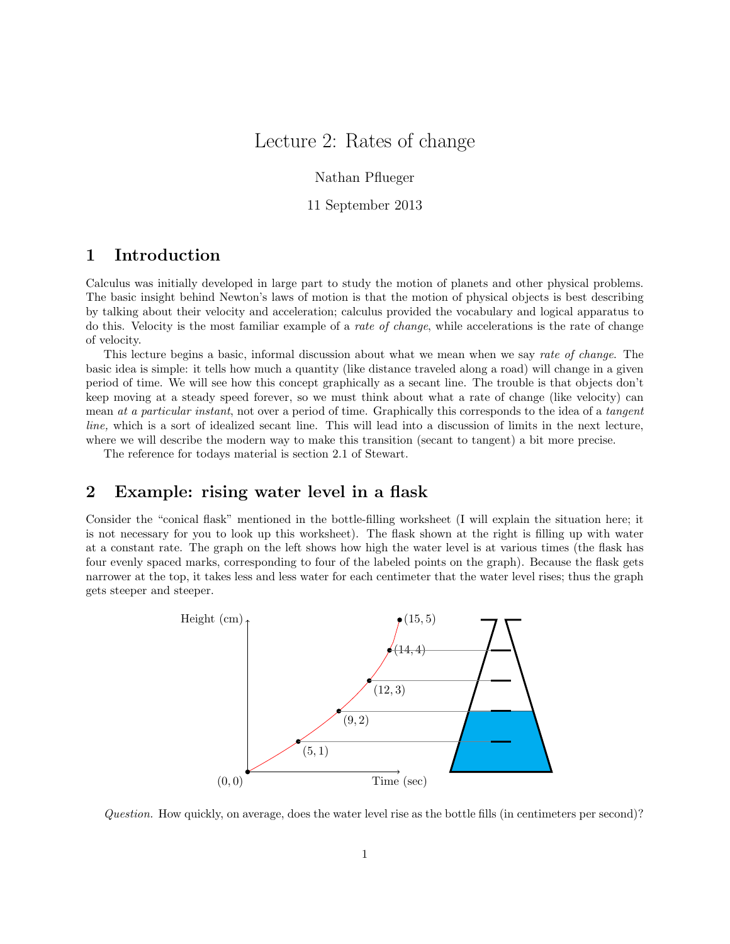# Lecture 2: Rates of change

Nathan Pflueger

11 September 2013

## 1 Introduction

Calculus was initially developed in large part to study the motion of planets and other physical problems. The basic insight behind Newton's laws of motion is that the motion of physical objects is best describing by talking about their velocity and acceleration; calculus provided the vocabulary and logical apparatus to do this. Velocity is the most familiar example of a rate of change, while accelerations is the rate of change of velocity.

This lecture begins a basic, informal discussion about what we mean when we say rate of change. The basic idea is simple: it tells how much a quantity (like distance traveled along a road) will change in a given period of time. We will see how this concept graphically as a secant line. The trouble is that objects don't keep moving at a steady speed forever, so we must think about what a rate of change (like velocity) can mean at a particular instant, not over a period of time. Graphically this corresponds to the idea of a tangent line, which is a sort of idealized secant line. This will lead into a discussion of limits in the next lecture, where we will describe the modern way to make this transition (secant to tangent) a bit more precise.

The reference for todays material is section 2.1 of Stewart.

## 2 Example: rising water level in a flask

Consider the "conical flask" mentioned in the bottle-filling worksheet (I will explain the situation here; it is not necessary for you to look up this worksheet). The flask shown at the right is filling up with water at a constant rate. The graph on the left shows how high the water level is at various times (the flask has four evenly spaced marks, corresponding to four of the labeled points on the graph). Because the flask gets narrower at the top, it takes less and less water for each centimeter that the water level rises; thus the graph gets steeper and steeper.



Question. How quickly, on average, does the water level rise as the bottle fills (in centimeters per second)?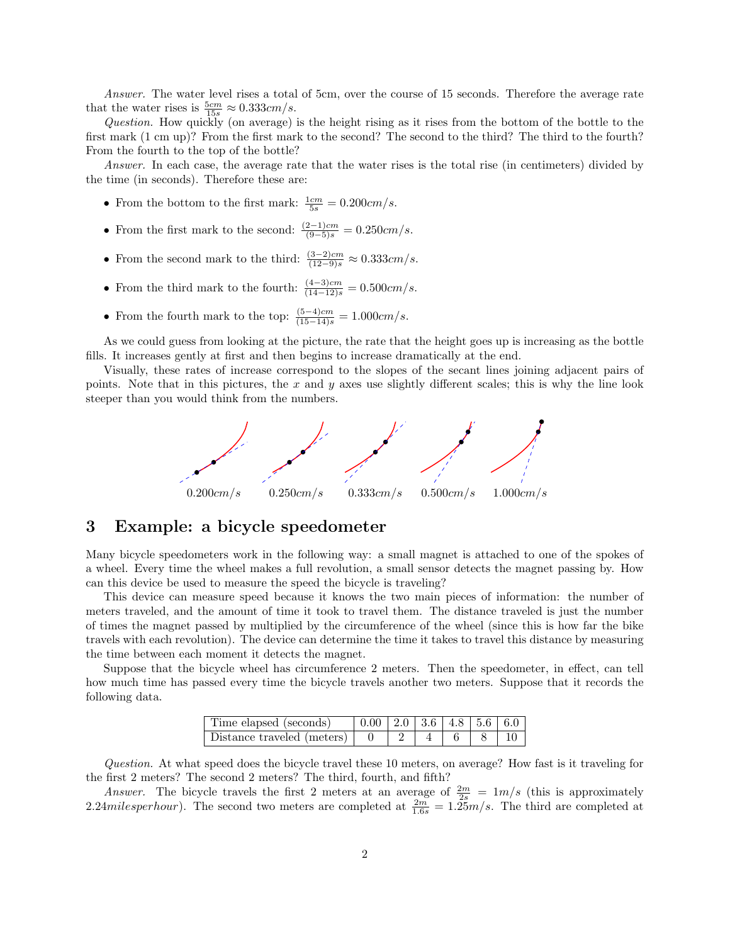Answer. The water level rises a total of 5cm, over the course of 15 seconds. Therefore the average rate that the water rises is  $\frac{5cm}{15s} \approx 0.333cm/s$ .

Question. How quickly (on average) is the height rising as it rises from the bottom of the bottle to the first mark (1 cm up)? From the first mark to the second? The second to the third? The third to the fourth? From the fourth to the top of the bottle?

Answer. In each case, the average rate that the water rises is the total rise (in centimeters) divided by the time (in seconds). Therefore these are:

- From the bottom to the first mark:  $\frac{1cm}{5s} = 0.200 \, \text{cm/s}.$
- From the first mark to the second:  $\frac{(2-1)cm}{(9-5)s} = 0.250cm/s$ .
- From the second mark to the third:  $\frac{(3-2)cm}{(12-9)s} \approx 0.333cm/s$ .
- From the third mark to the fourth:  $\frac{(4-3)cm}{(14-12)s} = 0.500cm/s$ .
- From the fourth mark to the top:  $\frac{(5-4)cm}{(15-14)s} = 1.000cm/s$ .

As we could guess from looking at the picture, the rate that the height goes up is increasing as the bottle fills. It increases gently at first and then begins to increase dramatically at the end.

Visually, these rates of increase correspond to the slopes of the secant lines joining adjacent pairs of points. Note that in this pictures, the x and y axes use slightly different scales; this is why the line look steeper than you would think from the numbers.



#### 3 Example: a bicycle speedometer

Many bicycle speedometers work in the following way: a small magnet is attached to one of the spokes of a wheel. Every time the wheel makes a full revolution, a small sensor detects the magnet passing by. How can this device be used to measure the speed the bicycle is traveling?

This device can measure speed because it knows the two main pieces of information: the number of meters traveled, and the amount of time it took to travel them. The distance traveled is just the number of times the magnet passed by multiplied by the circumference of the wheel (since this is how far the bike travels with each revolution). The device can determine the time it takes to travel this distance by measuring the time between each moment it detects the magnet.

Suppose that the bicycle wheel has circumference 2 meters. Then the speedometer, in effect, can tell how much time has passed every time the bicycle travels another two meters. Suppose that it records the following data.

| Time elapsed (seconds)                 | $\vert 0.00 \vert 2.0 \vert 3.6 \vert 4.8 \vert 5.6 \vert 6.0 \vert$ |  |  |  |
|----------------------------------------|----------------------------------------------------------------------|--|--|--|
| Distance traveled (meters) $\boxed{0}$ |                                                                      |  |  |  |

Question. At what speed does the bicycle travel these 10 meters, on average? How fast is it traveling for the first 2 meters? The second 2 meters? The third, fourth, and fifth?

Answer. The bicycle travels the first 2 meters at an average of  $\frac{2m}{2s} = \frac{1}{m/s}$  (this is approximately 2.24milesperhour). The second two meters are completed at  $\frac{2m}{1.6s} = 1.25 \frac{m}{s}$ . The third are completed at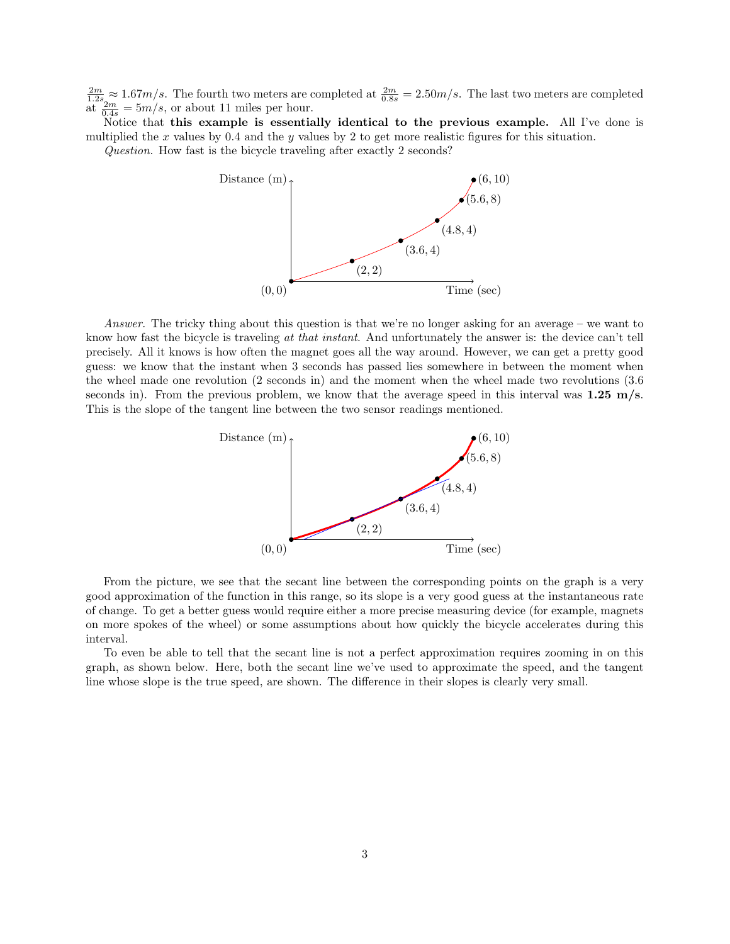$\frac{2m}{1.2s} \approx 1.67m/s$ . The fourth two meters are completed at  $\frac{2m}{0.8s} = 2.50m/s$ . The last two meters are completed  $\frac{12m}{0.4s} = 5m/s$ , or about 11 miles per hour.

Notice that this example is essentially identical to the previous example. All I've done is multiplied the  $x$  values by 0.4 and the  $y$  values by 2 to get more realistic figures for this situation.

Question. How fast is the bicycle traveling after exactly 2 seconds?



Answer. The tricky thing about this question is that we're no longer asking for an average – we want to know how fast the bicycle is traveling at that instant. And unfortunately the answer is: the device can't tell precisely. All it knows is how often the magnet goes all the way around. However, we can get a pretty good guess: we know that the instant when 3 seconds has passed lies somewhere in between the moment when the wheel made one revolution (2 seconds in) and the moment when the wheel made two revolutions (3.6 seconds in). From the previous problem, we know that the average speed in this interval was  $1.25 \text{ m/s}$ . This is the slope of the tangent line between the two sensor readings mentioned.



From the picture, we see that the secant line between the corresponding points on the graph is a very good approximation of the function in this range, so its slope is a very good guess at the instantaneous rate of change. To get a better guess would require either a more precise measuring device (for example, magnets on more spokes of the wheel) or some assumptions about how quickly the bicycle accelerates during this interval.

To even be able to tell that the secant line is not a perfect approximation requires zooming in on this graph, as shown below. Here, both the secant line we've used to approximate the speed, and the tangent line whose slope is the true speed, are shown. The difference in their slopes is clearly very small.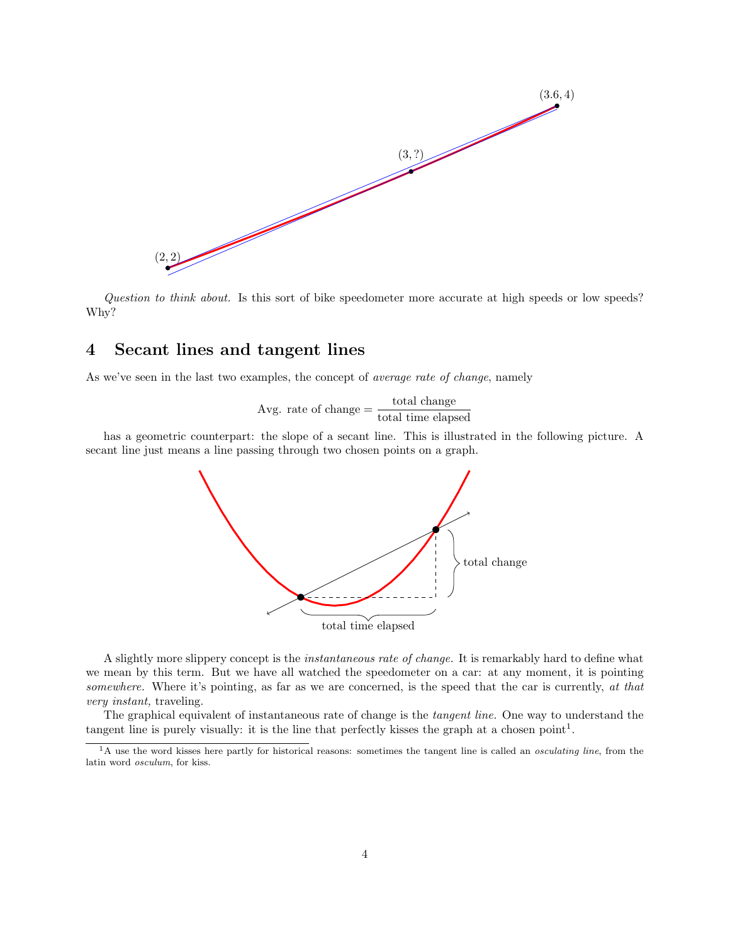

Question to think about. Is this sort of bike speedometer more accurate at high speeds or low speeds? Why?

# 4 Secant lines and tangent lines

As we've seen in the last two examples, the concept of *average rate of change*, namely

$$
Avg. rate of change = \frac{total change}{total time elapsed}
$$

has a geometric counterpart: the slope of a secant line. This is illustrated in the following picture. A secant line just means a line passing through two chosen points on a graph.



A slightly more slippery concept is the instantaneous rate of change. It is remarkably hard to define what we mean by this term. But we have all watched the speedometer on a car: at any moment, it is pointing somewhere. Where it's pointing, as far as we are concerned, is the speed that the car is currently, at that very instant, traveling.

The graphical equivalent of instantaneous rate of change is the tangent line. One way to understand the tangent line is purely visually: it is the line that perfectly kisses the graph at a chosen point<sup>1</sup>.

<sup>&</sup>lt;sup>1</sup>A use the word kisses here partly for historical reasons: sometimes the tangent line is called an *osculating line*, from the latin word osculum, for kiss.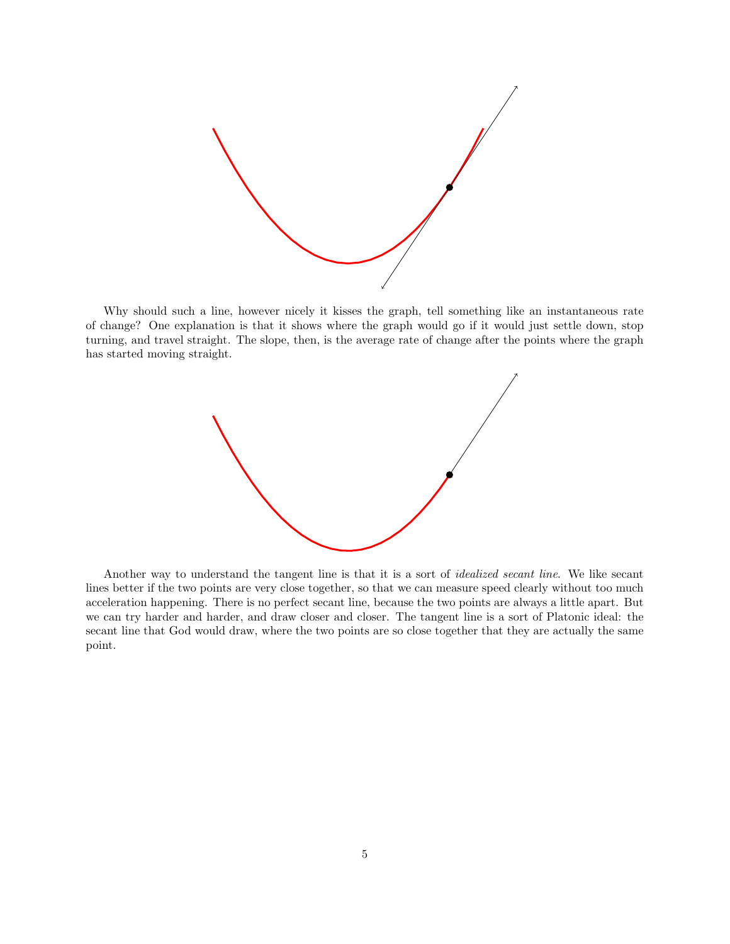

Why should such a line, however nicely it kisses the graph, tell something like an instantaneous rate of change? One explanation is that it shows where the graph would go if it would just settle down, stop turning, and travel straight. The slope, then, is the average rate of change after the points where the graph has started moving straight.



Another way to understand the tangent line is that it is a sort of *idealized secant line*. We like secant lines better if the two points are very close together, so that we can measure speed clearly without too much acceleration happening. There is no perfect secant line, because the two points are always a little apart. But we can try harder and harder, and draw closer and closer. The tangent line is a sort of Platonic ideal: the secant line that God would draw, where the two points are so close together that they are actually the same point.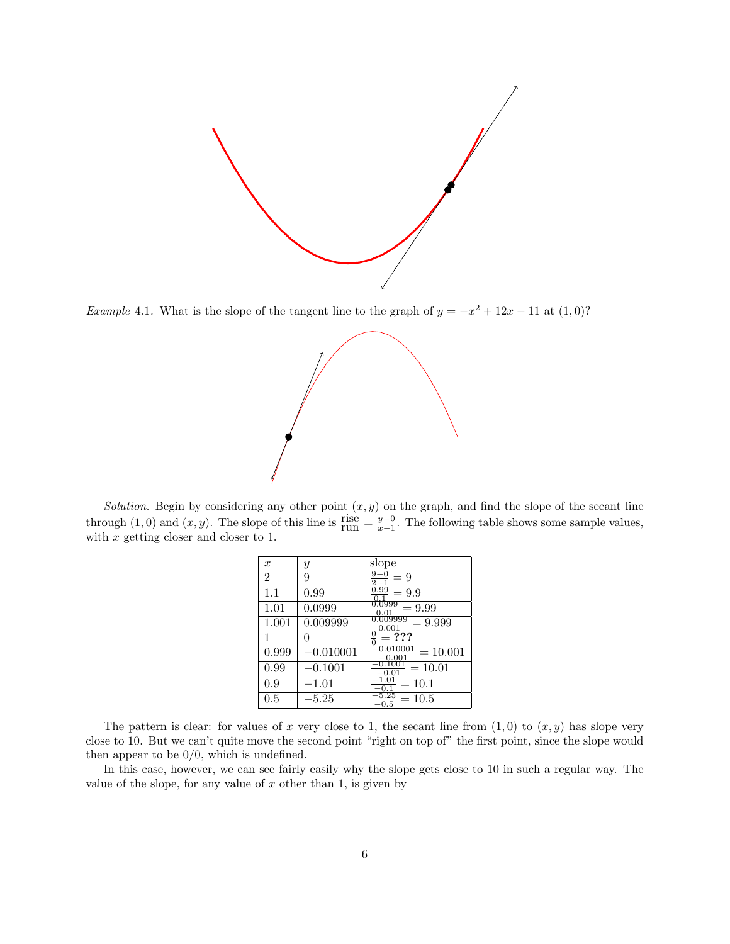

Example 4.1. What is the slope of the tangent line to the graph of  $y = -x^2 + 12x - 11$  at  $(1,0)$ ?



Solution. Begin by considering any other point  $(x, y)$  on the graph, and find the slope of the secant line through (1,0) and  $(x, y)$ . The slope of this line is  $\frac{\text{rise}}{\text{run}} = \frac{y-0}{x-1}$ . The following table shows some sample values, with  $x$  getting closer and closer to 1.

| $\boldsymbol{x}$ | Y           | slope                                 |
|------------------|-------------|---------------------------------------|
| $\overline{2}$   | 9           | $= 9$                                 |
| 1.1              | 0.99        | U.99<br>$= 9.9$                       |
| 1.01             | 0.0999      | .0999<br>$= 9.99$<br>0.O1             |
| 1.001            | 0.009999    | $= 9.999$<br>0.001                    |
|                  |             | $= ? ? ?$                             |
| 0.999            | $-0.010001$ | $-0.010001$<br>$= 10.001$<br>$-0.001$ |
| 0.99             | $-0.1001$   | 0.1001<br>$=10.01$<br>Ω.              |
| 0.9              | $-1.01\,$   | $=10.1$                               |
| $\rm 0.5$        | 5.25        | $=10.5$<br>0.5                        |

The pattern is clear: for values of x very close to 1, the secant line from  $(1,0)$  to  $(x, y)$  has slope very close to 10. But we can't quite move the second point "right on top of" the first point, since the slope would then appear to be  $0/0$ , which is undefined.

In this case, however, we can see fairly easily why the slope gets close to 10 in such a regular way. The value of the slope, for any value of  $x$  other than 1, is given by